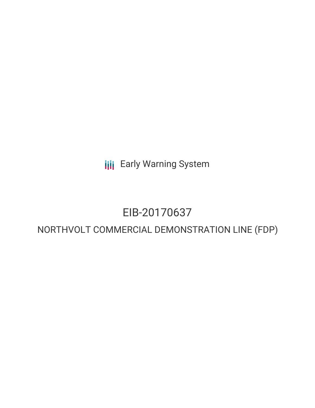**III** Early Warning System

## EIB-20170637

## NORTHVOLT COMMERCIAL DEMONSTRATION LINE (FDP)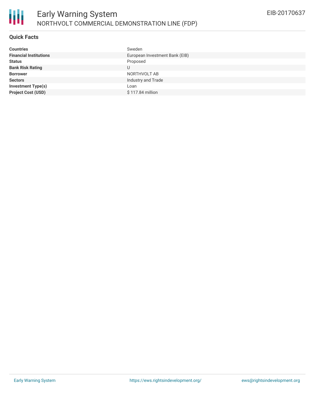

#### **Quick Facts**

冊

| <b>Countries</b>              | Sweden                         |
|-------------------------------|--------------------------------|
| <b>Financial Institutions</b> | European Investment Bank (EIB) |
| <b>Status</b>                 | Proposed                       |
| <b>Bank Risk Rating</b>       | U                              |
| <b>Borrower</b>               | NORTHVOLT AB                   |
| <b>Sectors</b>                | Industry and Trade             |
| <b>Investment Type(s)</b>     | Loan                           |
| <b>Project Cost (USD)</b>     | \$117.84 million               |
|                               |                                |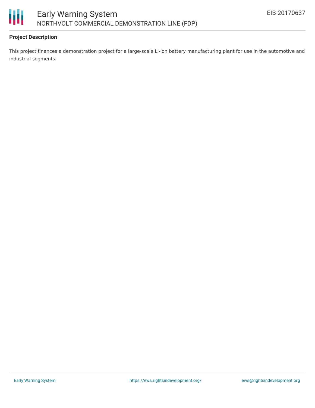

#### **Project Description**

This project finances a demonstration project for a large-scale Li-ion battery manufacturing plant for use in the automotive and industrial segments.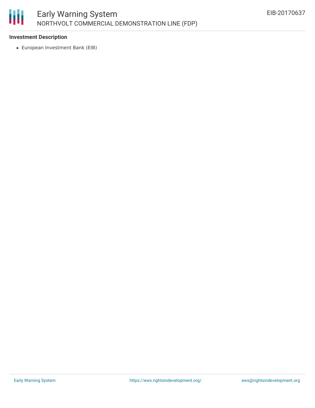

#### **Investment Description**

European Investment Bank (EIB)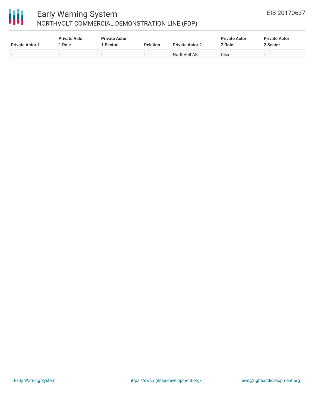# 冊

### Early Warning System NORTHVOLT COMMERCIAL DEMONSTRATION LINE (FDP)

| <b>Private Actor 1</b>   | <b>Private Actor</b><br>Role | <b>Private Actor</b><br>1 Sector | <b>Relation</b>          | <b>Private Actor 2</b> | <b>Private Actor</b><br>2 Role | <b>Private Actor</b><br>2 Sector |
|--------------------------|------------------------------|----------------------------------|--------------------------|------------------------|--------------------------------|----------------------------------|
| $\overline{\phantom{0}}$ |                              | -                                | $\overline{\phantom{a}}$ | NorthVolt AB           | Client                         | -                                |